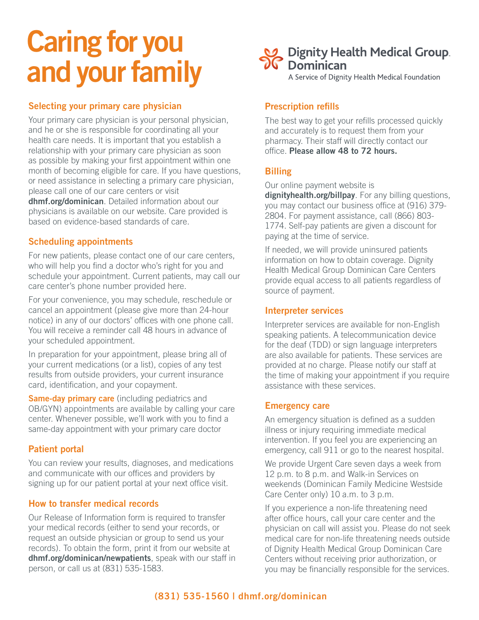# Caring for you and your family

# **Selecting your primary care physician**

Your primary care physician is your personal physician, and he or she is responsible for coordinating all your health care needs. It is important that you establish a relationship with your primary care physician as soon as possible by making your first appointment within one month of becoming eligible for care. If you have questions, or need assistance in selecting a primary care physician, please call one of our care centers or visit **dhmf.org/dominican**. Detailed information about our physicians is available on our website. Care provided is based on evidence-based standards of care.

## **Scheduling appointments**

For new patients, please contact one of our care centers, who will help you find a doctor who's right for you and schedule your appointment. Current patients, may call our care center's phone number provided here.

For your convenience, you may schedule, reschedule or cancel an appointment (please give more than 24-hour notice) in any of our doctors' offices with one phone call. You will receive a reminder call 48 hours in advance of your scheduled appointment.

In preparation for your appointment, please bring all of your current medications (or a list), copies of any test results from outside providers, your current insurance card, identification, and your copayment.

**Same-day primary care** (including pediatrics and OB/GYN) appointments are available by calling your care center. Whenever possible, we'll work with you to find a same-day appointment with your primary care doctor

# **Patient portal**

You can review your results, diagnoses, and medications and communicate with our offices and providers by signing up for our patient portal at your next office visit.

# **How to transfer medical records**

Our Release of Information form is required to transfer your medical records (either to send your records, or request an outside physician or group to send us your records). To obtain the form, print it from our website at **dhmf.org/dominican/newpatients**, speak with our staff in person, or call us at (831) 535-1583.

2 Dignity Health Medical Group.<br>6 Dominican

A Service of Dignity Health Medical Foundation

# **Prescription refills**

The best way to get your refills processed quickly and accurately is to request them from your pharmacy. Their staff will directly contact our office. **Please allow 48 to 72 hours.**

# **Billing**

Our online payment website is

**dignityhealth.org/billpay**. For any billing questions, you may contact our business office at (916) 379- 2804. For payment assistance, call (866) 803- 1774. Self-pay patients are given a discount for paying at the time of service.

If needed, we will provide uninsured patients information on how to obtain coverage. Dignity Health Medical Group Dominican Care Centers provide equal access to all patients regardless of source of payment.

## **Interpreter services**

Interpreter services are available for non-English speaking patients. A telecommunication device for the deaf (TDD) or sign language interpreters are also available for patients. These services are provided at no charge. Please notify our staff at the time of making your appointment if you require assistance with these services.

## **Emergency care**

An emergency situation is defined as a sudden illness or injury requiring immediate medical intervention. If you feel you are experiencing an emergency, call 911 or go to the nearest hospital.

We provide Urgent Care seven days a week from 12 p.m. to 8 p.m. and Walk-in Services on weekends (Dominican Family Medicine Westside Care Center only) 10 a.m. to 3 p.m.

If you experience a non-life threatening need after office hours, call your care center and the physician on call will assist you. Please do not seek medical care for non-life threatening needs outside of Dignity Health Medical Group Dominican Care Centers without receiving prior authorization, or you may be financially responsible for the services.